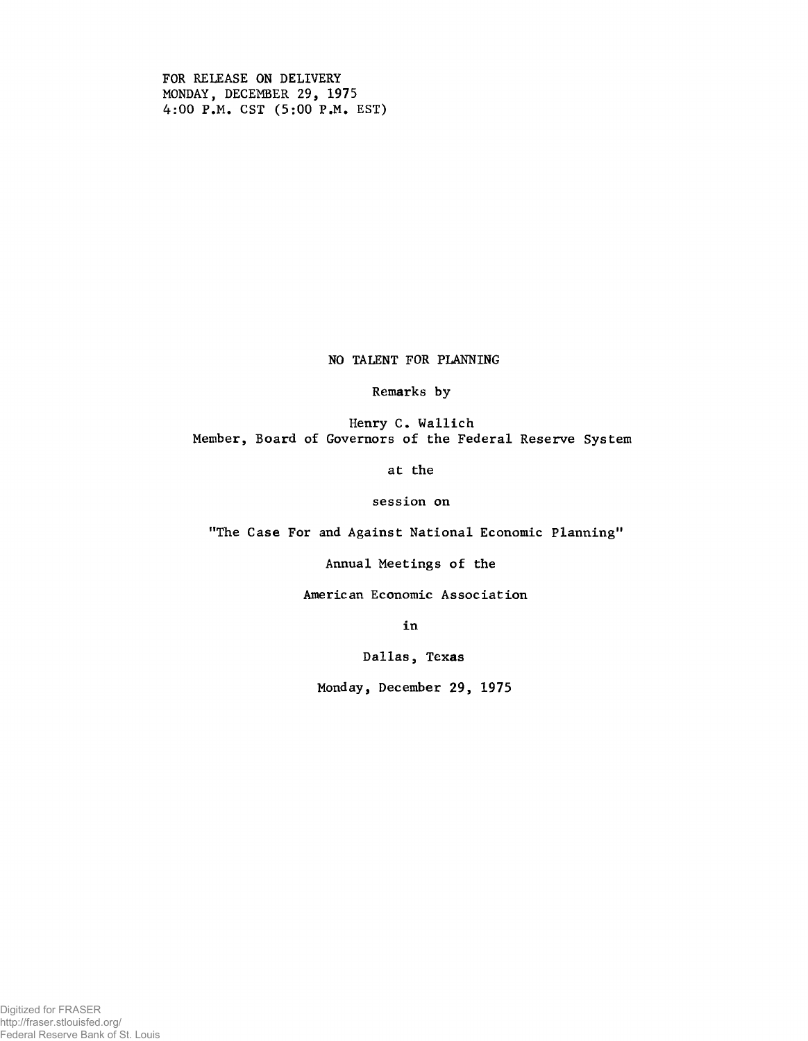FOR RELEASE ON DELIVERY MONDAY, DECEMBER 29, 1975 4:00 P.M. CST (5:00 P.M. EST)

NO TALENT FOR PLANNING

Remarks by

Henry C. Wallich Member, Board of Governors of the Federal Reserve System

at the

session on

"The Case For and Against National Economic Planning"

Annual Meetings of the

American Economic Association

in

Dallas, Texas

Monday, December 29, 1975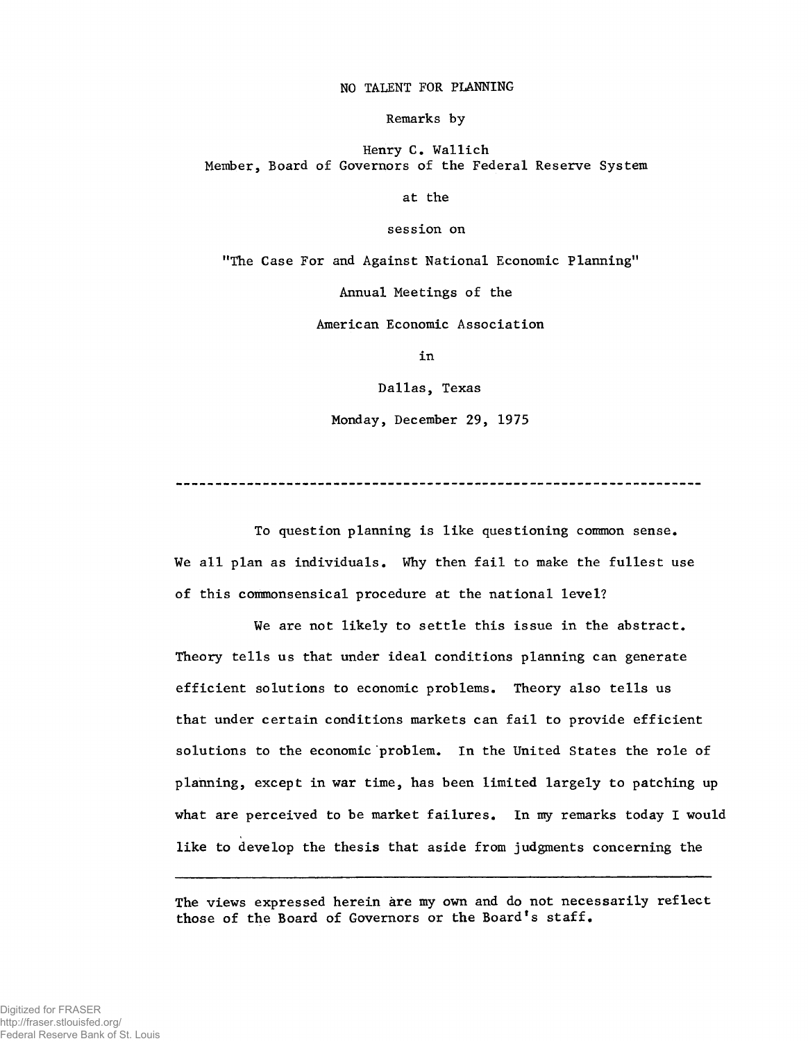## NO TALENT FOR PLANNING

Remarks by

Henry C. Wallich Member, Board of Governors of the Federal Reserve System

at the

session on

"The Case For and Against National Economic Planning"

Annual Meetings of the

American Economic Association

in

Dallas, Texas

Monday, December 29, 1975

To question planning is like questioning common sense. We all plan as individuals. Why then fail to make the fullest use of this commonsensical procedure at the national level?

We are not likely to settle this issue in the abstract. Theory tells us that under ideal conditions planning can generate efficient solutions to economic problems. Theory also tells us that under certain conditions markets can fail to provide efficient solutions to the economic problem. In the United States the role of planning, except in war time, has been limited largely to patching up what are perceived to be market failures. In my remarks today I would like to develop the thesis that aside from judgments concerning the

The views expressed herein are my own and do not necessarily reflect those of the Board of Governors or the Board's staff.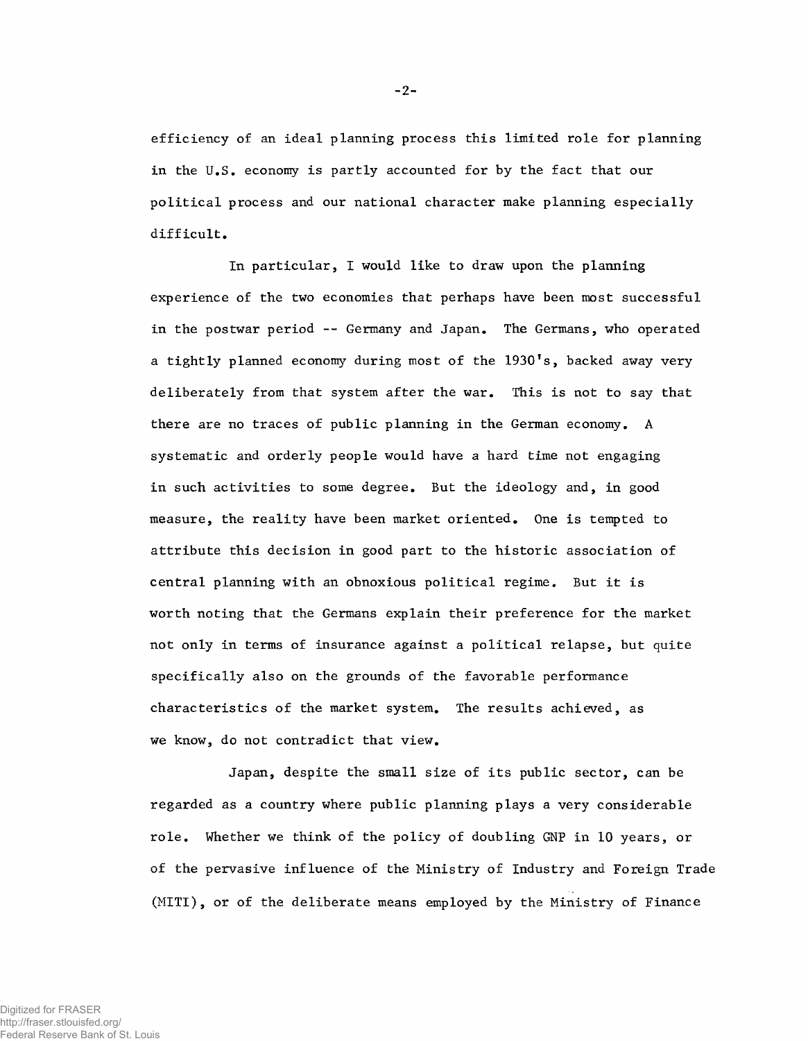efficiency of an ideal planning process this limited role for planning in the U.S. economy is partly accounted for by the fact that our political process and our national character make planning especially difficult.

In particular, I would like to draw upon the planning experience of the two economies that perhaps have been most successful in the postwar period -- Germany and Japan. The Germans, who operated a tightly planned economy during most of the 1930's, backed away very deliberately from that system after the war. This is not to say that there are no traces of public planning in the German economy. A systematic and orderly people would have a hard time not engaging in such activities to some degree. But the ideology and, in good measure, the reality have been market oriented. One is tempted to attribute this decision in good part to the historic association of central planning with an obnoxious political regime. But it is worth noting that the Germans explain their preference for the market not only in terms of insurance against a political relapse, but quite specifically also on the grounds of the favorable performance characteristics of the market system. The results achieved, as we know, do not contradict that view.

Japan, despite the small size of its public sector, can be regarded as a country where public planning plays a very considerable role. Whether we think of the policy of doubling GNP in 10 years, or of the pervasive influence of the Ministry of Industry and Foreign Trade (MITI), or of the deliberate means employed by the Ministry of Finance

-2-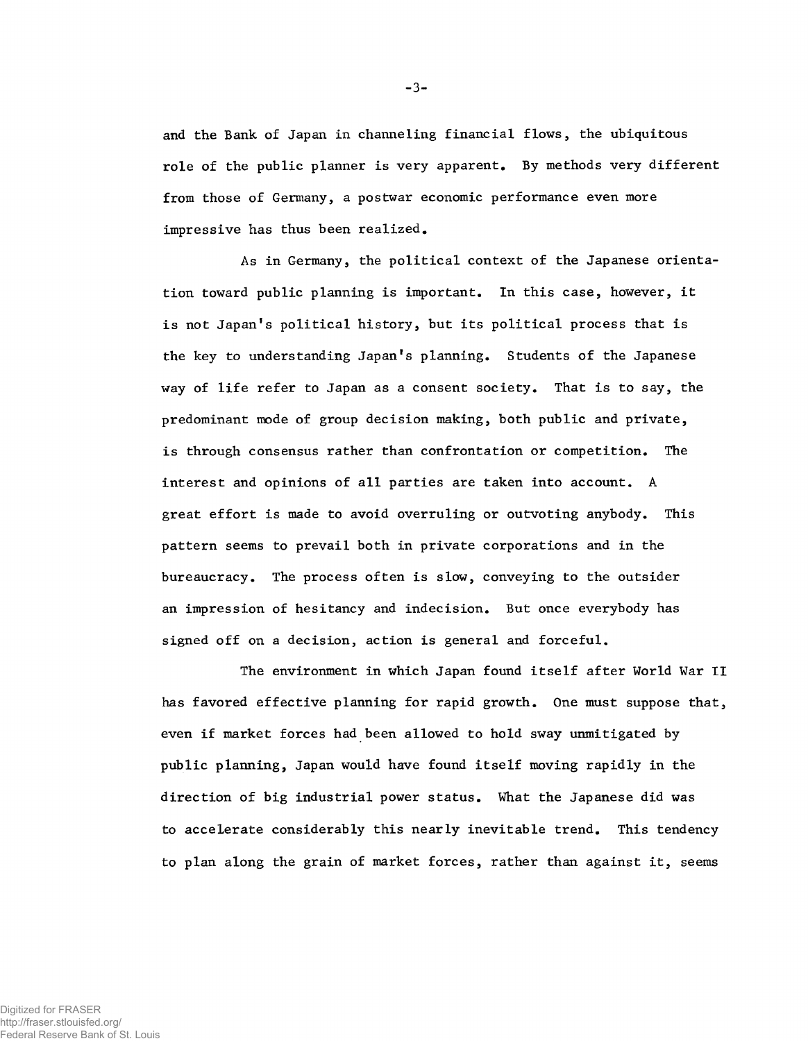and the Bank of Japan in channeling financial flows, the ubiquitous role of the public planner is very apparent. By methods very different from those of Germany, a postwar economic performance even more impressive has thus been realized.

As in Germany, the political context of the Japanese orientation toward public planning is important. In this case, however, it is not Japan's political history, but its political process that is the key to understanding Japan's planning. Students of the Japanese way of life refer to Japan as a consent society. That is to say, the predominant mode of group decision making, both public and private, is through consensus rather than confrontation or competition. The interest and opinions of all parties are taken into account. A great effort is made to avoid overruling or outvoting anybody. This pattern seems to prevail both in private corporations and in the bureaucracy. The process often is slow, conveying to the outsider an impression of hesitancy and indecision. But once everybody has signed off on a decision, action is general and forceful.

The environment in which Japan found itself after World War II has favored effective planning for rapid growth. One must suppose that, even if market forces had been allowed to hold sway unmitigated by public planning, Japan would have found itself moving rapidly in the direction of big industrial power status. What the Japanese did was to accelerate considerably this nearly inevitable trend. This tendency to plan along the grain of market forces, rather than against it, seems

-3-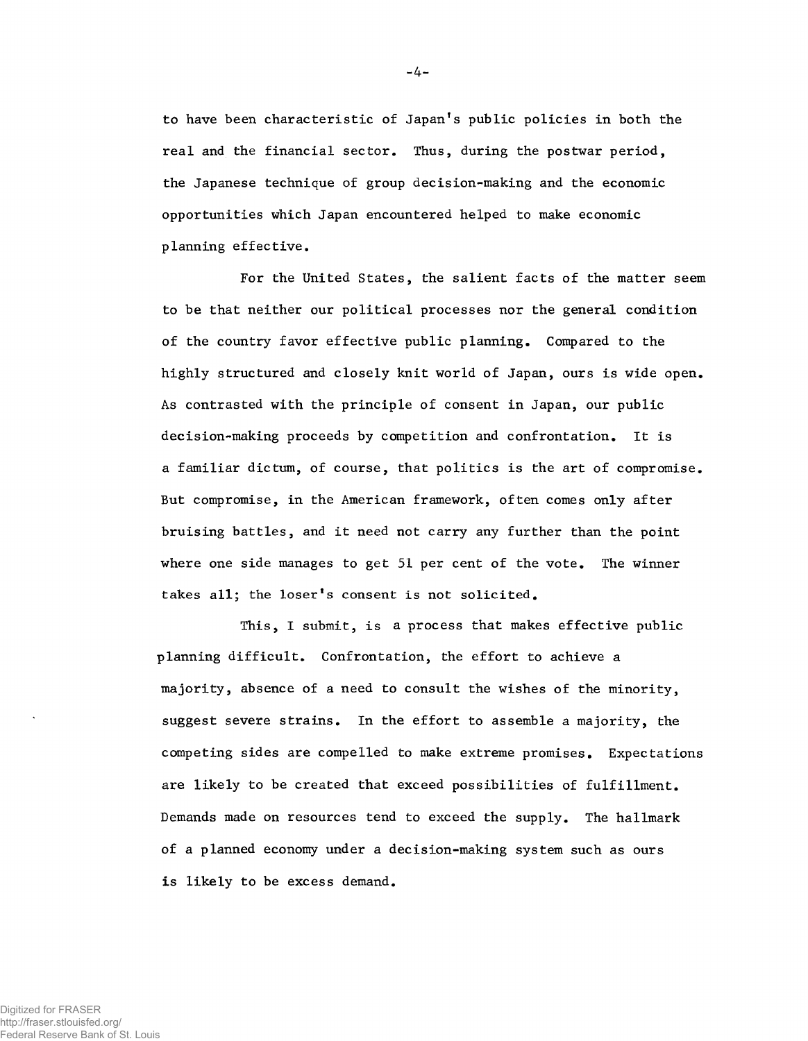to have been characteristic of Japan's public policies in both the real and the financial sector. Thus, during the postwar period, the Japanese technique of group decision-making and the economic opportunities which Japan encountered helped to make economic planning effective.

For the United States, the salient facts of the matter seem to be that neither our political processes nor the general condition of the country favor effective public planning. Compared to the highly structured and closely knit world of Japan, ours is wide open. As contrasted with the principle of consent in Japan, our public decision-making proceeds by competition and confrontation. It is a familiar dictum, of course, that politics is the art of compromise. But compromise, in the American framework, often comes only after bruising battles, and it need not carry any further than the point where one side manages to get 51 per cent of the vote. The winner takes all; the loser's consent is not solicited.

This, I submit, is a process that makes effective public planning difficult. Confrontation, the effort to achieve a majority, absence of a need to consult the wishes of the minority, suggest severe strains. In the effort to assemble a majority, the competing sides are compelled to make extreme promises. Expectations are likely to be created that exceed possibilities of fulfillment. Demands made on resources tend to exceed the supply. The hallmark of a planned economy under a decision-making system such as ours is likely to be excess demand.

- 4-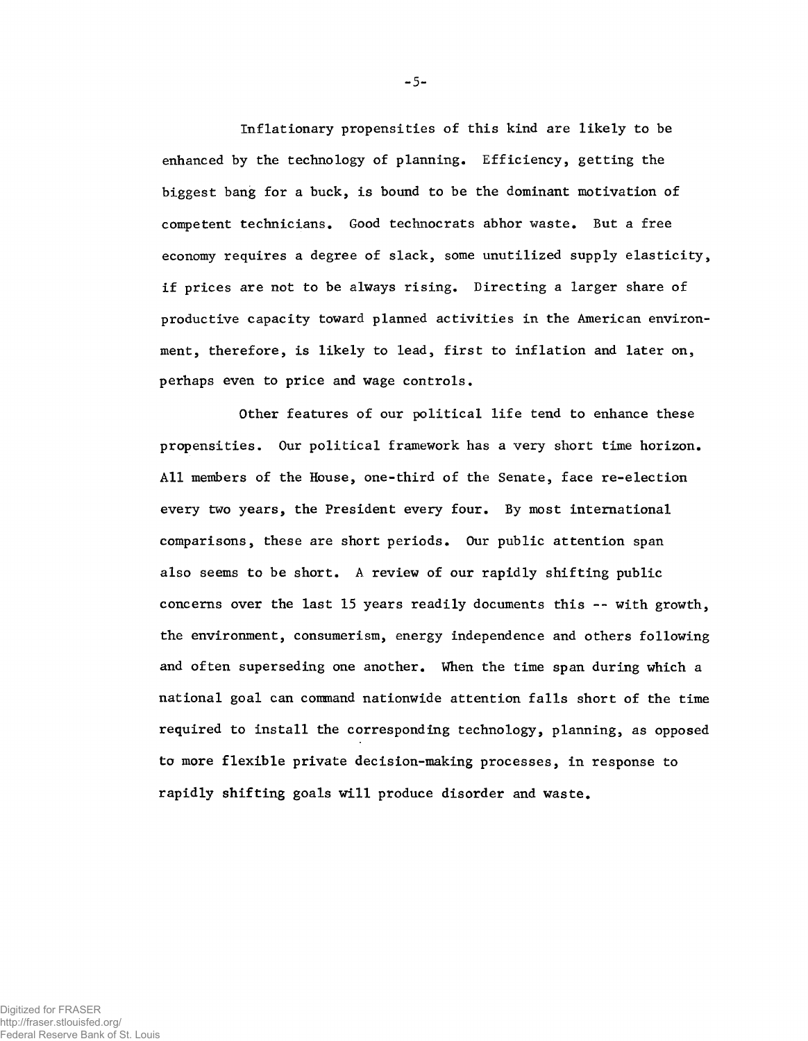Inflationary propensities of this kind are likely to be enhanced by the technology of planning. Efficiency, getting the biggest bang for a buck, is bound to be the dominant motivation of competent technicians. Good technocrats abhor waste. But a free economy requires a degree of slack, some unutilized supply elasticity, if prices are not to be always rising. Directing a larger share of productive capacity toward planned activities in the American environment, therefore, is likely to lead, first to inflation and later on, perhaps even to price and wage controls.

Other features of our political life tend to enhance these propensities. Our political framework has a very short time horizon. All members of the House, one-third of the Senate, face re-election every two years, the President every four. By most international comparisons, these are short periods. Our public attention span also seems to be short. A review of our rapidly shifting public concerns over the last 15 years readily documents this -- with growth, the environment, consumerism, energy independence and others following and often superseding one another. When the time span during which a national goal can command nationwide attention falls short of the time required to install the corresponding technology, planning, as opposed to more flexible private decision-making processes, in response to rapidly shifting goals will produce disorder and waste.

- 5-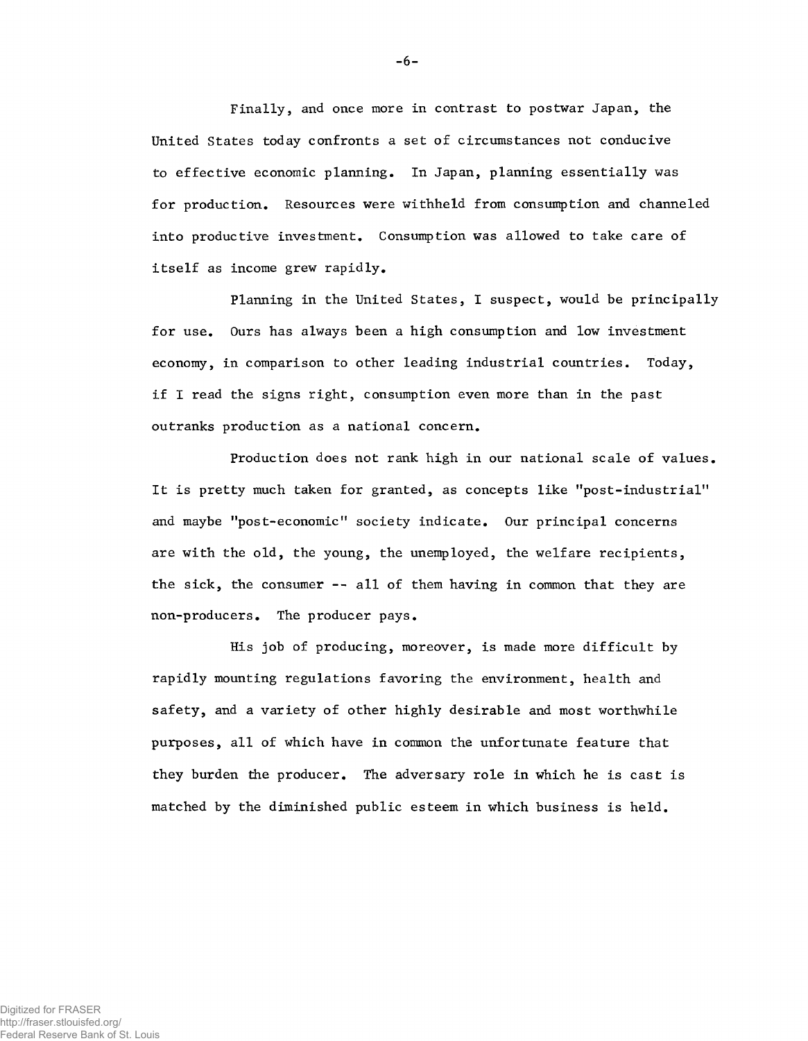Finally, and once more in contrast to postwar Japan, the United States today confronts a set of circumstances not conducive to effective economic planning. In Japan, planning essentially was for production. Resources were withheld from consumption and channeled into productive investment. Consumption was allowed to take care of itself as income grew rapidly.

Planning in the United States, I suspect, would be principally for use. Ours has always been a high consumption and low investment economy, in comparison to other leading industrial countries. Today, if I read the signs right, consumption even more than in the past outranks production as a national concern.

Production does not rank high in our national scale of values. It is pretty much taken for granted, as concepts like "post-industrial" and maybe "post-economic" society indicate. Our principal concerns are with the old, the young, the unemployed, the welfare recipients, the sick, the consumer -- all of them having in common that they are non-producers. The producer pays.

His job of producing, moreover, is made more difficult by rapidly mounting regulations favoring the environment, health and safety, and a variety of other highly desirable and most worthwhile purposes, all of which have in common the unfortunate feature that they burden the producer. The adversary role in which he is cast is matched by the diminished public esteem in which business is held.

**-6 -**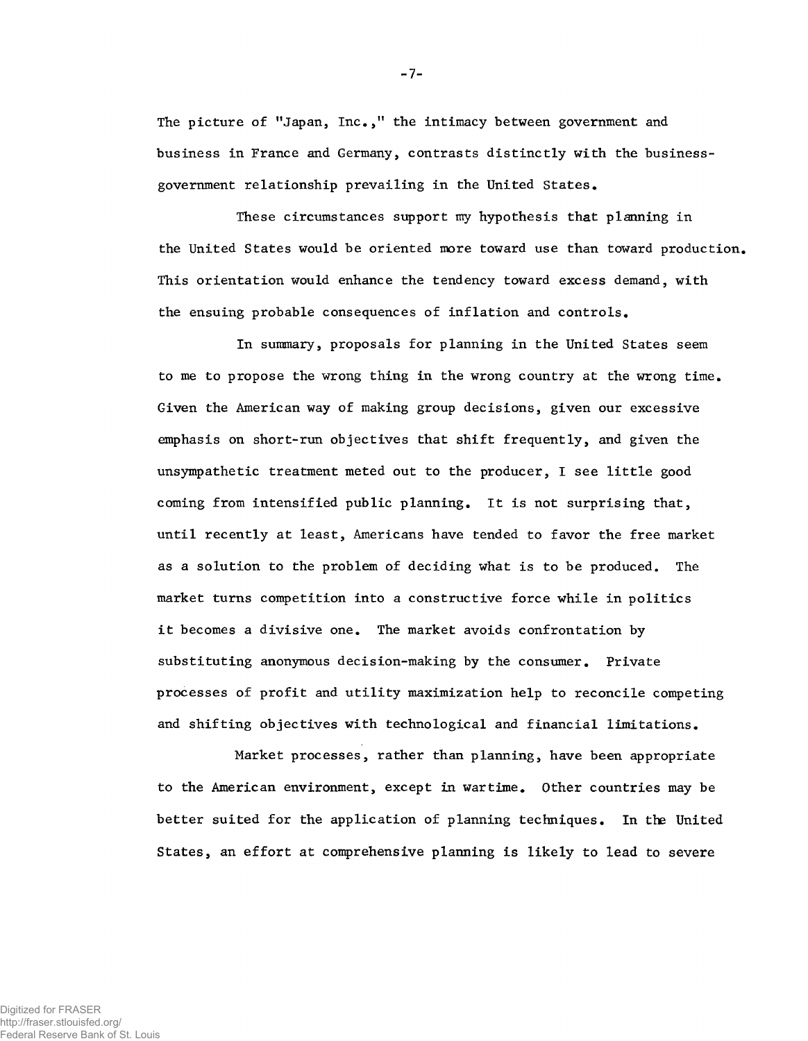The picture of "Japan, Inc.," the intimacy between government and business in France and Germany, contrasts distinctly with the businessgovernment relationship prevailing in the United States.

These circumstances support my hypothesis that planning in the United States would be oriented more toward use than toward production. This orientation would enhance the tendency toward excess demand, with the ensuing probable consequences of inflation and controls.

In summary, proposals for planning in the United States seem to me to propose the wrong thing in the wrong country at the wrong time. Given the American way of making group decisions, given our excessive emphasis on short-run objectives that shift frequently, and given the unsympathetic treatment meted out to the producer, I see little good coming from intensified public planning. It is not surprising that, until recently at least, Americans have tended to favor the free market as a solution to the problem of deciding what is to be produced. The market turns competition into a constructive force while in politics it becomes a divisive one. The market avoids confrontation by substituting anonymous decision-making by the consumer. Private processes of profit and utility maximization help to reconcile competing and shifting objectives with technological and financial limitations.

Market processes, rather than planning, have been appropriate to the American environment, except in wartime. Other countries may be better suited for the application of planning techniques. In the United States, an effort at comprehensive planning is likely to lead to severe

-7-